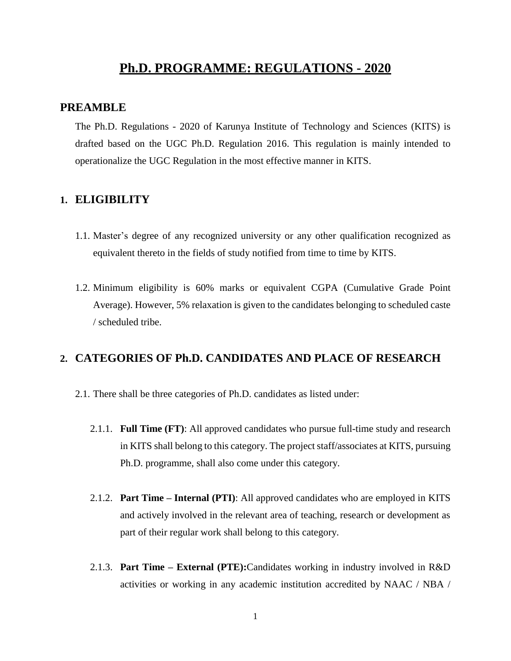## **Ph.D. PROGRAMME: REGULATIONS - 2020**

### **PREAMBLE**

The Ph.D. Regulations - 2020 of Karunya Institute of Technology and Sciences (KITS) is drafted based on the UGC Ph.D. Regulation 2016. This regulation is mainly intended to operationalize the UGC Regulation in the most effective manner in KITS.

### **1. ELIGIBILITY**

- 1.1. Master's degree of any recognized university or any other qualification recognized as equivalent thereto in the fields of study notified from time to time by KITS.
- 1.2. Minimum eligibility is 60% marks or equivalent CGPA (Cumulative Grade Point Average). However, 5% relaxation is given to the candidates belonging to scheduled caste / scheduled tribe.

### **2. CATEGORIES OF Ph.D. CANDIDATES AND PLACE OF RESEARCH**

- 2.1. There shall be three categories of Ph.D. candidates as listed under:
	- 2.1.1. **Full Time (FT)**: All approved candidates who pursue full-time study and research in KITS shall belong to this category. The project staff/associates at KITS, pursuing Ph.D. programme, shall also come under this category.
	- 2.1.2. **Part Time – Internal (PTI)**: All approved candidates who are employed in KITS and actively involved in the relevant area of teaching, research or development as part of their regular work shall belong to this category.
	- 2.1.3. **Part Time – External (PTE):**Candidates working in industry involved in R&D activities or working in any academic institution accredited by NAAC / NBA /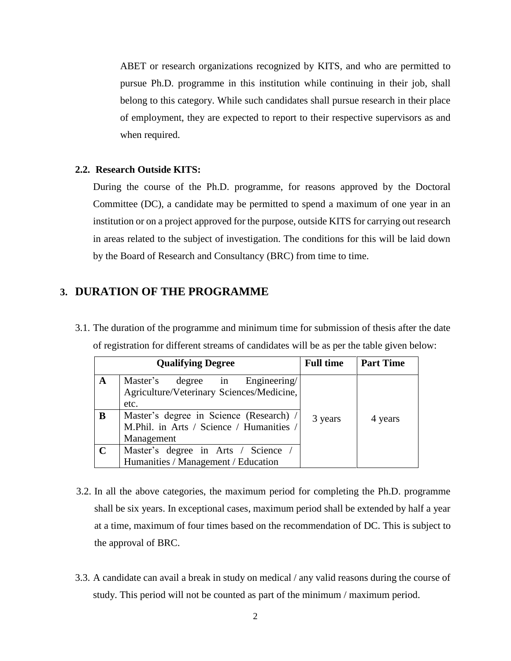ABET or research organizations recognized by KITS, and who are permitted to pursue Ph.D. programme in this institution while continuing in their job, shall belong to this category. While such candidates shall pursue research in their place of employment, they are expected to report to their respective supervisors as and when required.

#### **2.2. Research Outside KITS:**

During the course of the Ph.D. programme, for reasons approved by the Doctoral Committee (DC), a candidate may be permitted to spend a maximum of one year in an institution or on a project approved for the purpose, outside KITS for carrying out research in areas related to the subject of investigation. The conditions for this will be laid down by the Board of Research and Consultancy (BRC) from time to time.

### **3. DURATION OF THE PROGRAMME**

3.1. The duration of the programme and minimum time for submission of thesis after the date of registration for different streams of candidates will be as per the table given below:

| <b>Qualifying Degree</b> |                                                                                                   | <b>Full time</b> | <b>Part Time</b> |
|--------------------------|---------------------------------------------------------------------------------------------------|------------------|------------------|
| A                        | Engineering/<br>Master's<br>degree in<br>Agriculture/Veterinary Sciences/Medicine,<br>etc.        |                  |                  |
| B                        | Master's degree in Science (Research) /<br>M.Phil. in Arts / Science / Humanities /<br>Management | 3 years          | 4 years          |
| $\mathbf C$              | Master's degree in Arts / Science /<br>Humanities / Management / Education                        |                  |                  |

- 3.2. In all the above categories, the maximum period for completing the Ph.D. programme shall be six years. In exceptional cases, maximum period shall be extended by half a year at a time, maximum of four times based on the recommendation of DC. This is subject to the approval of BRC.
- 3.3. A candidate can avail a break in study on medical / any valid reasons during the course of study. This period will not be counted as part of the minimum / maximum period.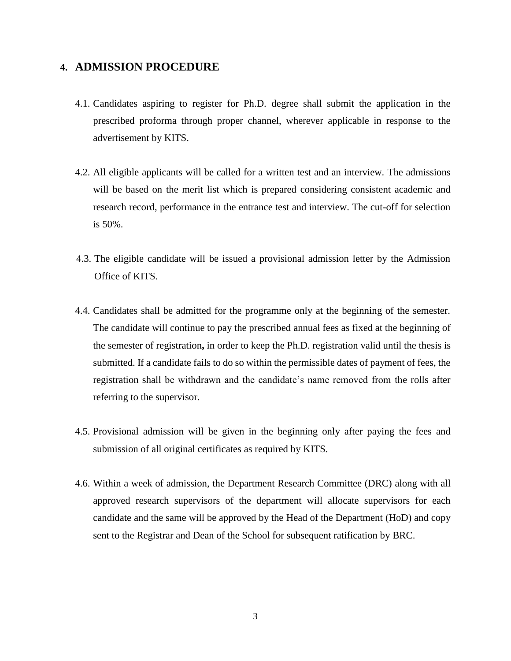### **4. ADMISSION PROCEDURE**

- 4.1. Candidates aspiring to register for Ph.D. degree shall submit the application in the prescribed proforma through proper channel, wherever applicable in response to the advertisement by KITS.
- 4.2. All eligible applicants will be called for a written test and an interview. The admissions will be based on the merit list which is prepared considering consistent academic and research record, performance in the entrance test and interview. The cut-off for selection is 50%.
- 4.3. The eligible candidate will be issued a provisional admission letter by the Admission Office of KITS.
- 4.4. Candidates shall be admitted for the programme only at the beginning of the semester. The candidate will continue to pay the prescribed annual fees as fixed at the beginning of the semester of registration**,** in order to keep the Ph.D. registration valid until the thesis is submitted. If a candidate fails to do so within the permissible dates of payment of fees, the registration shall be withdrawn and the candidate's name removed from the rolls after referring to the supervisor.
- 4.5. Provisional admission will be given in the beginning only after paying the fees and submission of all original certificates as required by KITS.
- 4.6. Within a week of admission, the Department Research Committee (DRC) along with all approved research supervisors of the department will allocate supervisors for each candidate and the same will be approved by the Head of the Department (HoD) and copy sent to the Registrar and Dean of the School for subsequent ratification by BRC.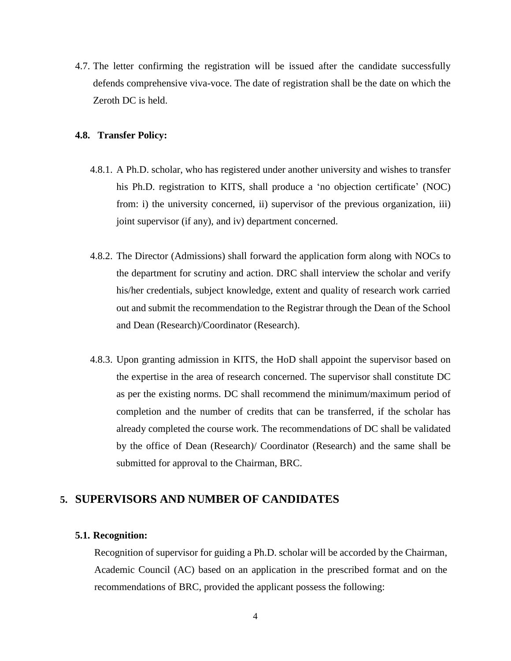4.7. The letter confirming the registration will be issued after the candidate successfully defends comprehensive viva-voce. The date of registration shall be the date on which the Zeroth DC is held.

#### **4.8. Transfer Policy:**

- 4.8.1. A Ph.D. scholar, who has registered under another university and wishes to transfer his Ph.D. registration to KITS, shall produce a 'no objection certificate' (NOC) from: i) the university concerned, ii) supervisor of the previous organization, iii) joint supervisor (if any), and iv) department concerned.
- 4.8.2. The Director (Admissions) shall forward the application form along with NOCs to the department for scrutiny and action. DRC shall interview the scholar and verify his/her credentials, subject knowledge, extent and quality of research work carried out and submit the recommendation to the Registrar through the Dean of the School and Dean (Research)/Coordinator (Research).
- 4.8.3. Upon granting admission in KITS, the HoD shall appoint the supervisor based on the expertise in the area of research concerned. The supervisor shall constitute DC as per the existing norms. DC shall recommend the minimum/maximum period of completion and the number of credits that can be transferred, if the scholar has already completed the course work. The recommendations of DC shall be validated by the office of Dean (Research)/ Coordinator (Research) and the same shall be submitted for approval to the Chairman, BRC.

#### **5. SUPERVISORS AND NUMBER OF CANDIDATES**

#### **5.1. Recognition:**

Recognition of supervisor for guiding a Ph.D. scholar will be accorded by the Chairman, Academic Council (AC) based on an application in the prescribed format and on the recommendations of BRC, provided the applicant possess the following: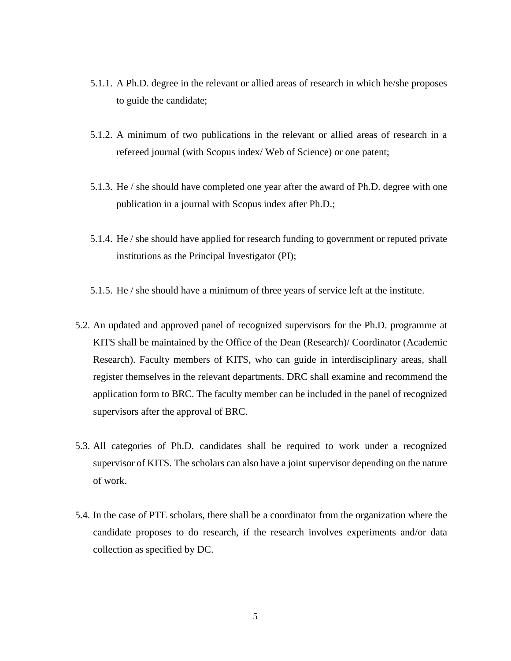- 5.1.1. A Ph.D. degree in the relevant or allied areas of research in which he/she proposes to guide the candidate;
- 5.1.2. A minimum of two publications in the relevant or allied areas of research in a refereed journal (with Scopus index/ Web of Science) or one patent;
- 5.1.3. He / she should have completed one year after the award of Ph.D. degree with one publication in a journal with Scopus index after Ph.D.;
- 5.1.4. He / she should have applied for research funding to government or reputed private institutions as the Principal Investigator (PI);
- 5.1.5. He / she should have a minimum of three years of service left at the institute.
- 5.2. An updated and approved panel of recognized supervisors for the Ph.D. programme at KITS shall be maintained by the Office of the Dean (Research)/ Coordinator (Academic Research). Faculty members of KITS, who can guide in interdisciplinary areas, shall register themselves in the relevant departments. DRC shall examine and recommend the application form to BRC. The faculty member can be included in the panel of recognized supervisors after the approval of BRC.
- 5.3. All categories of Ph.D. candidates shall be required to work under a recognized supervisor of KITS. The scholars can also have a joint supervisor depending on the nature of work.
- 5.4. In the case of PTE scholars, there shall be a coordinator from the organization where the candidate proposes to do research, if the research involves experiments and/or data collection as specified by DC.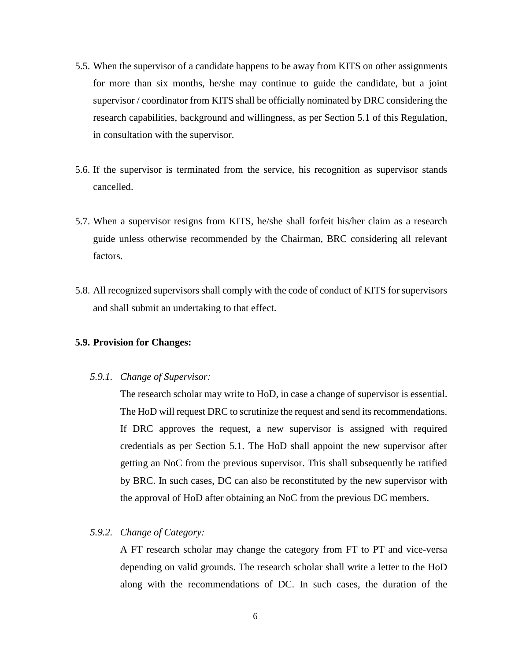- 5.5. When the supervisor of a candidate happens to be away from KITS on other assignments for more than six months, he/she may continue to guide the candidate, but a joint supervisor / coordinator from KITS shall be officially nominated by DRC considering the research capabilities, background and willingness, as per Section 5.1 of this Regulation, in consultation with the supervisor.
- 5.6. If the supervisor is terminated from the service, his recognition as supervisor stands cancelled.
- 5.7. When a supervisor resigns from KITS, he/she shall forfeit his/her claim as a research guide unless otherwise recommended by the Chairman, BRC considering all relevant factors.
- 5.8. All recognized supervisors shall comply with the code of conduct of KITS for supervisors and shall submit an undertaking to that effect.

#### **5.9. Provision for Changes:**

#### *5.9.1. Change of Supervisor:*

The research scholar may write to HoD, in case a change of supervisor is essential. The HoD will request DRC to scrutinize the request and send its recommendations. If DRC approves the request, a new supervisor is assigned with required credentials as per Section 5.1. The HoD shall appoint the new supervisor after getting an NoC from the previous supervisor. This shall subsequently be ratified by BRC. In such cases, DC can also be reconstituted by the new supervisor with the approval of HoD after obtaining an NoC from the previous DC members.

#### *5.9.2. Change of Category:*

A FT research scholar may change the category from FT to PT and vice-versa depending on valid grounds. The research scholar shall write a letter to the HoD along with the recommendations of DC. In such cases, the duration of the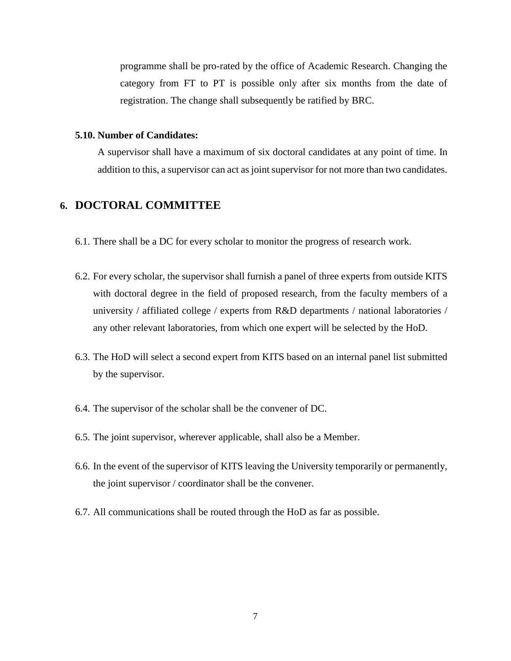programme shall be pro-rated by the office of Academic Research. Changing the category from FT to PT is possible only after six months from the date of registration. The change shall subsequently be ratified by BRC.

#### **5.10. Number of Candidates:**

A supervisor shall have a maximum of six doctoral candidates at any point of time. In addition to this, a supervisor can act as joint supervisor for not more than two candidates.

### **6. DOCTORAL COMMITTEE**

- 6.1. There shall be a DC for every scholar to monitor the progress of research work.
- 6.2. For every scholar, the supervisor shall furnish a panel of three experts from outside KITS with doctoral degree in the field of proposed research, from the faculty members of a university / affiliated college / experts from  $R&D$  departments / national laboratories / any other relevant laboratories, from which one expert will be selected by the HoD.
- 6.3. The HoD will select a second expert from KITS based on an internal panel list submitted by the supervisor.
- 6.4. The supervisor of the scholar shall be the convener of DC.
- 6.5. The joint supervisor, wherever applicable, shall also be a Member.
- 6.6. In the event of the supervisor of KITS leaving the University temporarily or permanently, the joint supervisor / coordinator shall be the convener.
- 6.7. All communications shall be routed through the HoD as far as possible.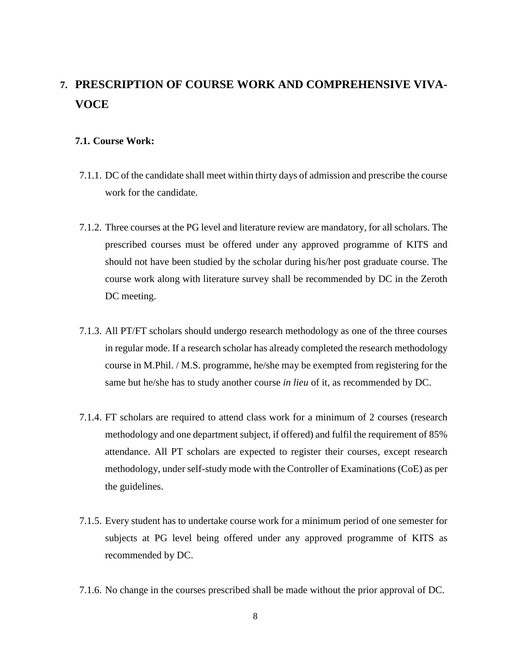# **7. PRESCRIPTION OF COURSE WORK AND COMPREHENSIVE VIVA-VOCE**

#### **7.1. Course Work:**

- 7.1.1. DC of the candidate shall meet within thirty days of admission and prescribe the course work for the candidate.
- 7.1.2. Three courses at the PG level and literature review are mandatory, for all scholars. The prescribed courses must be offered under any approved programme of KITS and should not have been studied by the scholar during his/her post graduate course. The course work along with literature survey shall be recommended by DC in the Zeroth DC meeting.
- 7.1.3. All PT/FT scholars should undergo research methodology as one of the three courses in regular mode. If a research scholar has already completed the research methodology course in M.Phil. / M.S. programme, he/she may be exempted from registering for the same but he/she has to study another course *in lieu* of it, as recommended by DC.
- 7.1.4. FT scholars are required to attend class work for a minimum of 2 courses (research methodology and one department subject, if offered) and fulfil the requirement of 85% attendance. All PT scholars are expected to register their courses, except research methodology, under self-study mode with the Controller of Examinations (CoE) as per the guidelines.
- 7.1.5. Every student has to undertake course work for a minimum period of one semester for subjects at PG level being offered under any approved programme of KITS as recommended by DC.
- 7.1.6. No change in the courses prescribed shall be made without the prior approval of DC.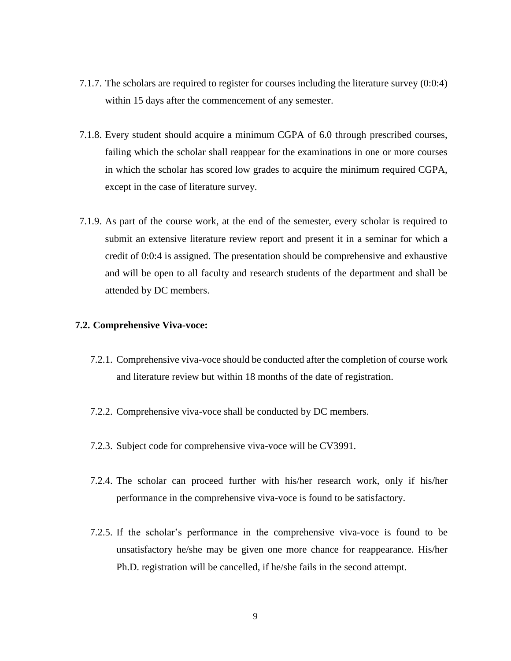- 7.1.7. The scholars are required to register for courses including the literature survey (0:0:4) within 15 days after the commencement of any semester.
- 7.1.8. Every student should acquire a minimum CGPA of 6.0 through prescribed courses, failing which the scholar shall reappear for the examinations in one or more courses in which the scholar has scored low grades to acquire the minimum required CGPA, except in the case of literature survey.
- 7.1.9. As part of the course work, at the end of the semester, every scholar is required to submit an extensive literature review report and present it in a seminar for which a credit of 0:0:4 is assigned. The presentation should be comprehensive and exhaustive and will be open to all faculty and research students of the department and shall be attended by DC members.

#### **7.2. Comprehensive Viva-voce:**

- 7.2.1. Comprehensive viva-voce should be conducted after the completion of course work and literature review but within 18 months of the date of registration.
- 7.2.2. Comprehensive viva-voce shall be conducted by DC members.
- 7.2.3. Subject code for comprehensive viva-voce will be CV3991.
- 7.2.4. The scholar can proceed further with his/her research work, only if his/her performance in the comprehensive viva-voce is found to be satisfactory.
- 7.2.5. If the scholar's performance in the comprehensive viva-voce is found to be unsatisfactory he/she may be given one more chance for reappearance. His/her Ph.D. registration will be cancelled, if he/she fails in the second attempt.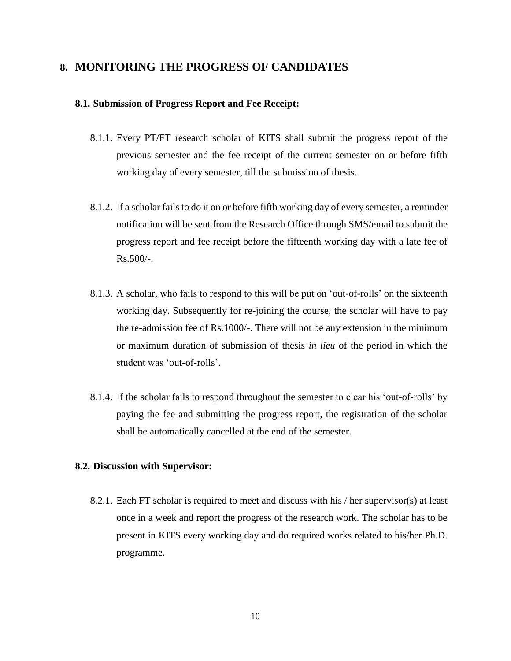### **8. MONITORING THE PROGRESS OF CANDIDATES**

#### **8.1. Submission of Progress Report and Fee Receipt:**

- 8.1.1. Every PT/FT research scholar of KITS shall submit the progress report of the previous semester and the fee receipt of the current semester on or before fifth working day of every semester, till the submission of thesis.
- 8.1.2. If a scholar fails to do it on or before fifth working day of every semester, a reminder notification will be sent from the Research Office through SMS/email to submit the progress report and fee receipt before the fifteenth working day with a late fee of  $Rs.500/-$ .
- 8.1.3. A scholar, who fails to respond to this will be put on 'out-of-rolls' on the sixteenth working day. Subsequently for re-joining the course, the scholar will have to pay the re-admission fee of Rs.1000/-. There will not be any extension in the minimum or maximum duration of submission of thesis *in lieu* of the period in which the student was 'out-of-rolls'.
- 8.1.4. If the scholar fails to respond throughout the semester to clear his 'out-of-rolls' by paying the fee and submitting the progress report, the registration of the scholar shall be automatically cancelled at the end of the semester.

#### **8.2. Discussion with Supervisor:**

8.2.1. Each FT scholar is required to meet and discuss with his / her supervisor(s) at least once in a week and report the progress of the research work. The scholar has to be present in KITS every working day and do required works related to his/her Ph.D. programme.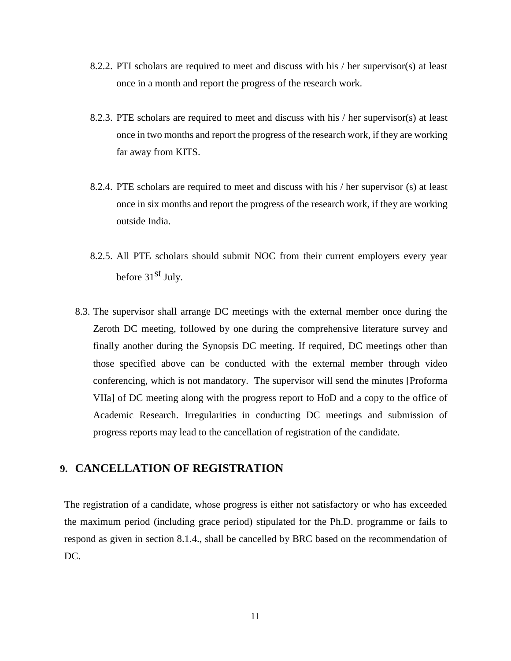- 8.2.2. PTI scholars are required to meet and discuss with his / her supervisor(s) at least once in a month and report the progress of the research work.
- 8.2.3. PTE scholars are required to meet and discuss with his / her supervisor(s) at least once in two months and report the progress of the research work, if they are working far away from KITS.
- 8.2.4. PTE scholars are required to meet and discuss with his / her supervisor (s) at least once in six months and report the progress of the research work, if they are working outside India.
- 8.2.5. All PTE scholars should submit NOC from their current employers every year before  $31<sup>st</sup>$  July.
- 8.3. The supervisor shall arrange DC meetings with the external member once during the Zeroth DC meeting, followed by one during the comprehensive literature survey and finally another during the Synopsis DC meeting. If required, DC meetings other than those specified above can be conducted with the external member through video conferencing, which is not mandatory. The supervisor will send the minutes [Proforma VIIa] of DC meeting along with the progress report to HoD and a copy to the office of Academic Research. Irregularities in conducting DC meetings and submission of progress reports may lead to the cancellation of registration of the candidate.

### **9. CANCELLATION OF REGISTRATION**

The registration of a candidate, whose progress is either not satisfactory or who has exceeded the maximum period (including grace period) stipulated for the Ph.D. programme or fails to respond as given in section 8.1.4., shall be cancelled by BRC based on the recommendation of DC.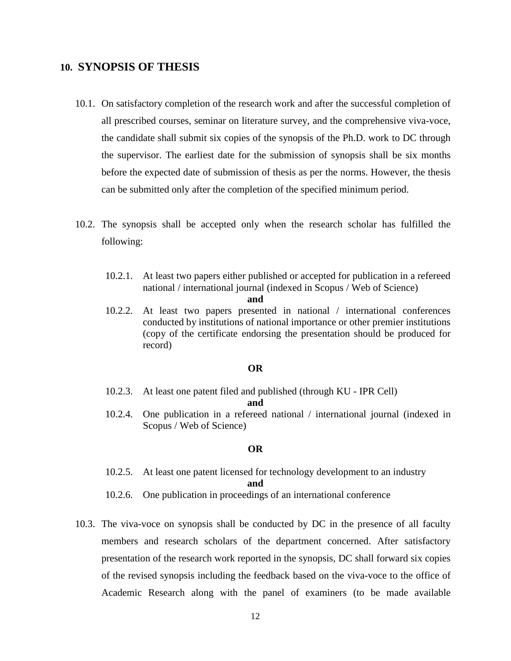#### **10. SYNOPSIS OF THESIS**

- 10.1. On satisfactory completion of the research work and after the successful completion of all prescribed courses, seminar on literature survey, and the comprehensive viva-voce, the candidate shall submit six copies of the synopsis of the Ph.D. work to DC through the supervisor. The earliest date for the submission of synopsis shall be six months before the expected date of submission of thesis as per the norms. However, the thesis can be submitted only after the completion of the specified minimum period.
- 10.2. The synopsis shall be accepted only when the research scholar has fulfilled the following:
	- 10.2.1. At least two papers either published or accepted for publication in a refereed national / international journal (indexed in Scopus / Web of Science)

**and**

10.2.2. At least two papers presented in national / international conferences conducted by institutions of national importance or other premier institutions (copy of the certificate endorsing the presentation should be produced for record)

#### **OR**

10.2.3. At least one patent filed and published (through KU - IPR Cell)

**and**

10.2.4. One publication in a refereed national / international journal (indexed in Scopus / Web of Science)

#### **OR**

10.2.5. At least one patent licensed for technology development to an industry

**and**

- 10.2.6. One publication in proceedings of an international conference
- 10.3. The viva-voce on synopsis shall be conducted by DC in the presence of all faculty members and research scholars of the department concerned. After satisfactory presentation of the research work reported in the synopsis, DC shall forward six copies of the revised synopsis including the feedback based on the viva-voce to the office of Academic Research along with the panel of examiners (to be made available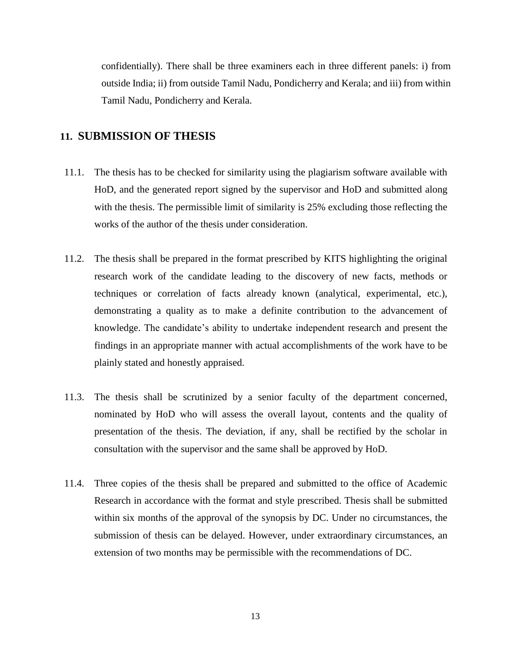confidentially). There shall be three examiners each in three different panels: i) from outside India; ii) from outside Tamil Nadu, Pondicherry and Kerala; and iii) from within Tamil Nadu, Pondicherry and Kerala.

### **11. SUBMISSION OF THESIS**

- 11.1. The thesis has to be checked for similarity using the plagiarism software available with HoD, and the generated report signed by the supervisor and HoD and submitted along with the thesis. The permissible limit of similarity is 25% excluding those reflecting the works of the author of the thesis under consideration.
- 11.2. The thesis shall be prepared in the format prescribed by KITS highlighting the original research work of the candidate leading to the discovery of new facts, methods or techniques or correlation of facts already known (analytical, experimental, etc.), demonstrating a quality as to make a definite contribution to the advancement of knowledge. The candidate's ability to undertake independent research and present the findings in an appropriate manner with actual accomplishments of the work have to be plainly stated and honestly appraised.
- 11.3. The thesis shall be scrutinized by a senior faculty of the department concerned, nominated by HoD who will assess the overall layout, contents and the quality of presentation of the thesis. The deviation, if any, shall be rectified by the scholar in consultation with the supervisor and the same shall be approved by HoD.
- 11.4. Three copies of the thesis shall be prepared and submitted to the office of Academic Research in accordance with the format and style prescribed. Thesis shall be submitted within six months of the approval of the synopsis by DC. Under no circumstances, the submission of thesis can be delayed. However, under extraordinary circumstances, an extension of two months may be permissible with the recommendations of DC.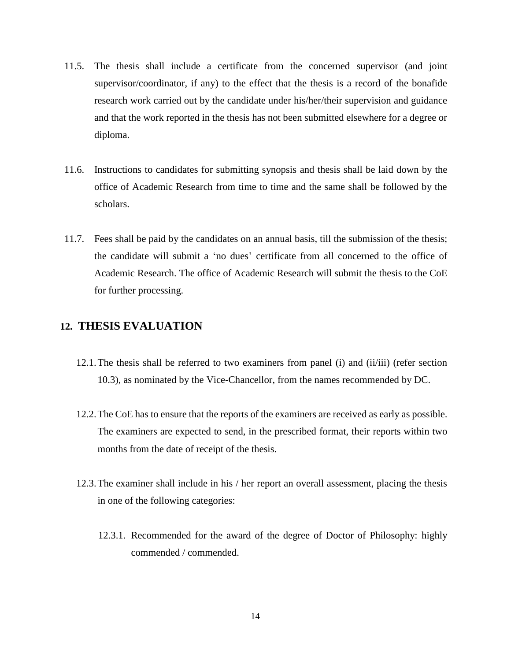- 11.5. The thesis shall include a certificate from the concerned supervisor (and joint supervisor/coordinator, if any) to the effect that the thesis is a record of the bonafide research work carried out by the candidate under his/her/their supervision and guidance and that the work reported in the thesis has not been submitted elsewhere for a degree or diploma.
- 11.6. Instructions to candidates for submitting synopsis and thesis shall be laid down by the office of Academic Research from time to time and the same shall be followed by the scholars.
- 11.7. Fees shall be paid by the candidates on an annual basis, till the submission of the thesis; the candidate will submit a 'no dues' certificate from all concerned to the office of Academic Research. The office of Academic Research will submit the thesis to the CoE for further processing.

### **12. THESIS EVALUATION**

- 12.1.The thesis shall be referred to two examiners from panel (i) and (ii/iii) (refer section 10.3), as nominated by the Vice-Chancellor, from the names recommended by DC.
- 12.2.The CoE has to ensure that the reports of the examiners are received as early as possible. The examiners are expected to send, in the prescribed format, their reports within two months from the date of receipt of the thesis.
- 12.3.The examiner shall include in his / her report an overall assessment, placing the thesis in one of the following categories:
	- 12.3.1. Recommended for the award of the degree of Doctor of Philosophy: highly commended / commended.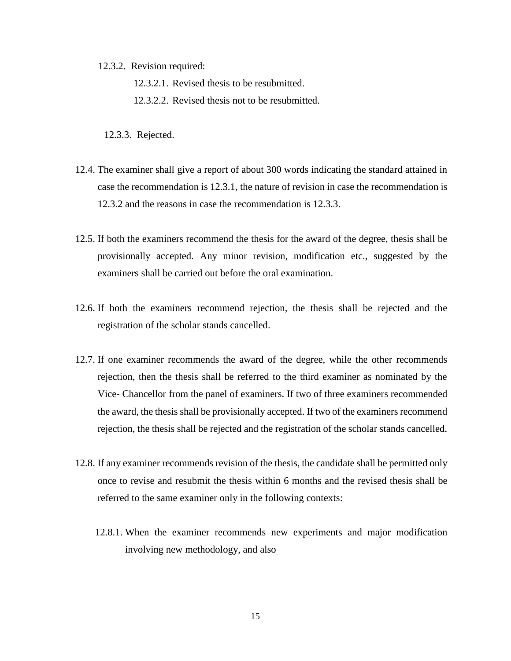12.3.2. Revision required:

12.3.2.1. Revised thesis to be resubmitted.

12.3.2.2. Revised thesis not to be resubmitted.

12.3.3. Rejected.

- 12.4. The examiner shall give a report of about 300 words indicating the standard attained in case the recommendation is 12.3.1, the nature of revision in case the recommendation is 12.3.2 and the reasons in case the recommendation is 12.3.3.
- 12.5. If both the examiners recommend the thesis for the award of the degree, thesis shall be provisionally accepted. Any minor revision, modification etc., suggested by the examiners shall be carried out before the oral examination.
- 12.6. If both the examiners recommend rejection, the thesis shall be rejected and the registration of the scholar stands cancelled.
- 12.7. If one examiner recommends the award of the degree, while the other recommends rejection, then the thesis shall be referred to the third examiner as nominated by the Vice- Chancellor from the panel of examiners. If two of three examiners recommended the award, the thesis shall be provisionally accepted. If two of the examiners recommend rejection, the thesis shall be rejected and the registration of the scholar stands cancelled.
- 12.8. If any examiner recommends revision of the thesis, the candidate shall be permitted only once to revise and resubmit the thesis within 6 months and the revised thesis shall be referred to the same examiner only in the following contexts:
	- 12.8.1. When the examiner recommends new experiments and major modification involving new methodology, and also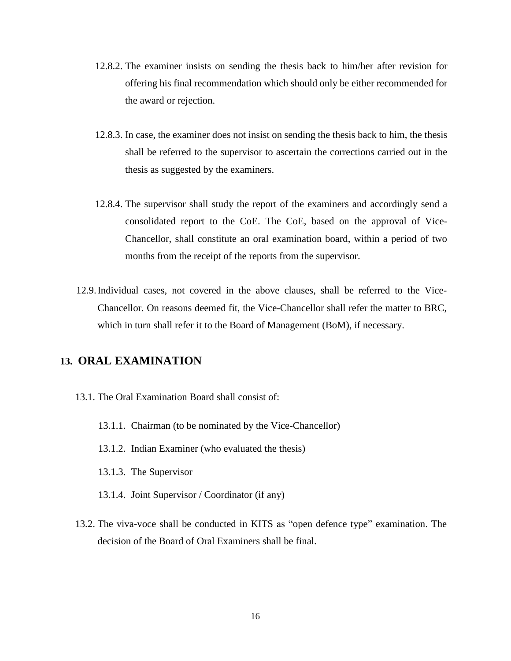- 12.8.2. The examiner insists on sending the thesis back to him/her after revision for offering his final recommendation which should only be either recommended for the award or rejection.
- 12.8.3. In case, the examiner does not insist on sending the thesis back to him, the thesis shall be referred to the supervisor to ascertain the corrections carried out in the thesis as suggested by the examiners.
- 12.8.4. The supervisor shall study the report of the examiners and accordingly send a consolidated report to the CoE. The CoE, based on the approval of Vice-Chancellor, shall constitute an oral examination board, within a period of two months from the receipt of the reports from the supervisor.
- 12.9.Individual cases, not covered in the above clauses, shall be referred to the Vice-Chancellor. On reasons deemed fit, the Vice-Chancellor shall refer the matter to BRC, which in turn shall refer it to the Board of Management (BoM), if necessary.

### **13. ORAL EXAMINATION**

- 13.1. The Oral Examination Board shall consist of:
	- 13.1.1. Chairman (to be nominated by the Vice-Chancellor)
	- 13.1.2. Indian Examiner (who evaluated the thesis)
	- 13.1.3. The Supervisor
	- 13.1.4. Joint Supervisor / Coordinator (if any)
- 13.2. The viva-voce shall be conducted in KITS as "open defence type" examination. The decision of the Board of Oral Examiners shall be final.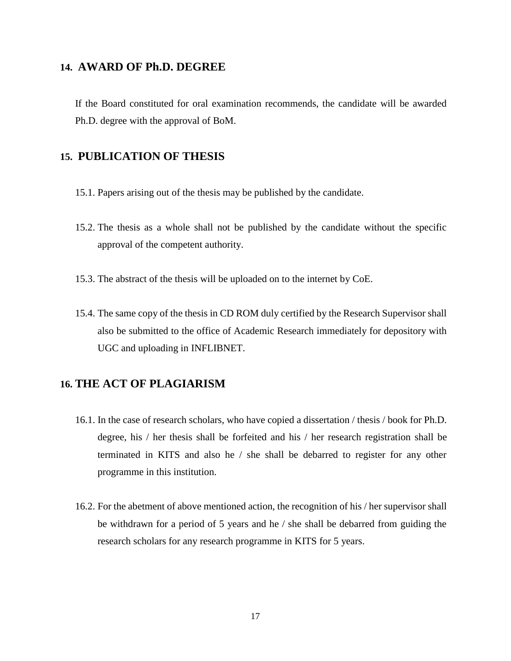### **14. AWARD OF Ph.D. DEGREE**

If the Board constituted for oral examination recommends, the candidate will be awarded Ph.D. degree with the approval of BoM.

### **15. PUBLICATION OF THESIS**

- 15.1. Papers arising out of the thesis may be published by the candidate.
- 15.2. The thesis as a whole shall not be published by the candidate without the specific approval of the competent authority.
- 15.3. The abstract of the thesis will be uploaded on to the internet by CoE.
- 15.4. The same copy of the thesis in CD ROM duly certified by the Research Supervisor shall also be submitted to the office of Academic Research immediately for depository with UGC and uploading in INFLIBNET.

### **16. THE ACT OF PLAGIARISM**

- 16.1. In the case of research scholars, who have copied a dissertation / thesis / book for Ph.D. degree, his / her thesis shall be forfeited and his / her research registration shall be terminated in KITS and also he / she shall be debarred to register for any other programme in this institution.
- 16.2. For the abetment of above mentioned action, the recognition of his / her supervisor shall be withdrawn for a period of 5 years and he / she shall be debarred from guiding the research scholars for any research programme in KITS for 5 years.